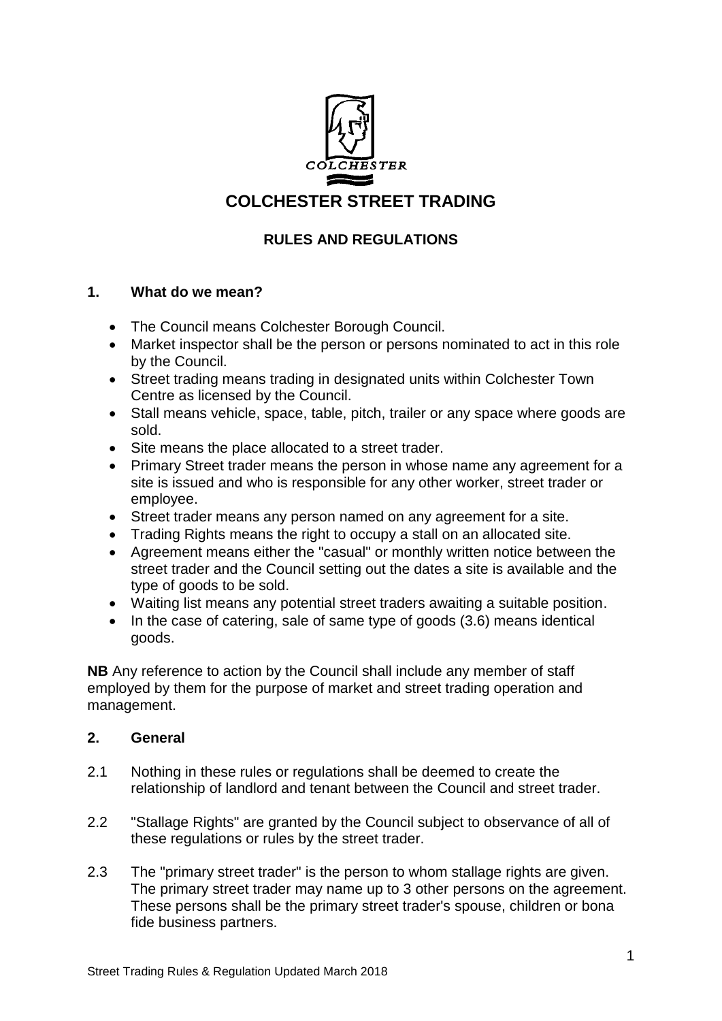

# **COLCHESTER STREET TRADING**

## **RULES AND REGULATIONS**

## **1. What do we mean?**

- The Council means Colchester Borough Council.
- Market inspector shall be the person or persons nominated to act in this role by the Council.
- Street trading means trading in designated units within Colchester Town Centre as licensed by the Council.
- Stall means vehicle, space, table, pitch, trailer or any space where goods are sold.
- Site means the place allocated to a street trader.
- Primary Street trader means the person in whose name any agreement for a site is issued and who is responsible for any other worker, street trader or employee.
- Street trader means any person named on any agreement for a site.
- Trading Rights means the right to occupy a stall on an allocated site.
- Agreement means either the "casual" or monthly written notice between the street trader and the Council setting out the dates a site is available and the type of goods to be sold.
- Waiting list means any potential street traders awaiting a suitable position.
- $\bullet$  In the case of catering, sale of same type of goods (3.6) means identical goods.

**NB** Any reference to action by the Council shall include any member of staff employed by them for the purpose of market and street trading operation and management.

### **2. General**

- 2.1 Nothing in these rules or regulations shall be deemed to create the relationship of landlord and tenant between the Council and street trader.
- 2.2 "Stallage Rights" are granted by the Council subject to observance of all of these regulations or rules by the street trader.
- 2.3 The "primary street trader" is the person to whom stallage rights are given. The primary street trader may name up to 3 other persons on the agreement. These persons shall be the primary street trader's spouse, children or bona fide business partners.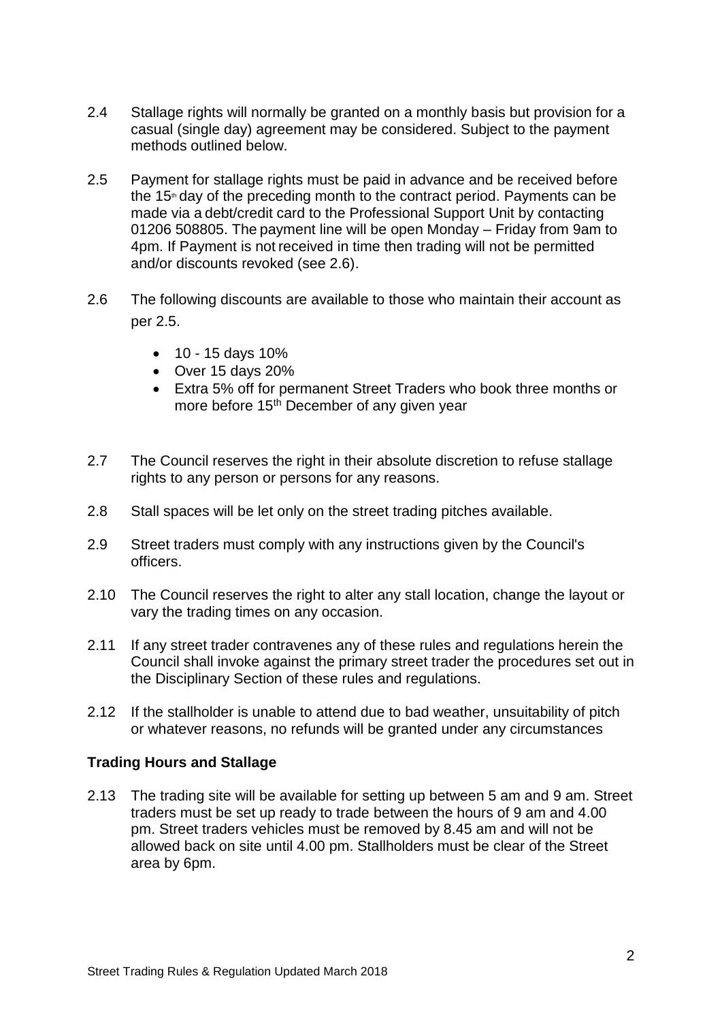- 2.4 Stallage rights will normally be granted on a monthly basis but provision for a casual (single day) agreement may be considered. Subject to the payment methods outlined below.
- 2.5 Payment for stallage rights must be paid in advance and be received before the 15<sup>th</sup> day of the preceding month to the contract period. Payments can be made via a debt/credit card to the Professional Support Unit by contacting 01206 508805. The payment line will be open Monday – Friday from 9am to 4pm. If Payment is not received in time then trading will not be permitted and/or discounts revoked (see 2.6).
- 2.6 The following discounts are available to those who maintain their account as per 2.5.
	- $\bullet$  10 15 days 10%
	- Over 15 days 20%
	- Extra 5% off for permanent Street Traders who book three months or more before 15<sup>th</sup> December of any given year
- 2.7 The Council reserves the right in their absolute discretion to refuse stallage rights to any person or persons for any reasons.
- 2.8 Stall spaces will be let only on the street trading pitches available.
- 2.9 Street traders must comply with any instructions given by the Council's officers.
- 2.10 The Council reserves the right to alter any stall location, change the layout or vary the trading times on any occasion.
- 2.11 If any street trader contravenes any of these rules and regulations herein the Council shall invoke against the primary street trader the procedures set out in the Disciplinary Section of these rules and regulations.
- 2.12 If the stallholder is unable to attend due to bad weather, unsuitability of pitch or whatever reasons, no refunds will be granted under any circumstances

### **Trading Hours and Stallage**

2.13 The trading site will be available for setting up between 5 am and 9 am. Street traders must be set up ready to trade between the hours of 9 am and 4.00 pm. Street traders vehicles must be removed by 8.45 am and will not be allowed back on site until 4.00 pm. Stallholders must be clear of the Street area by 6pm.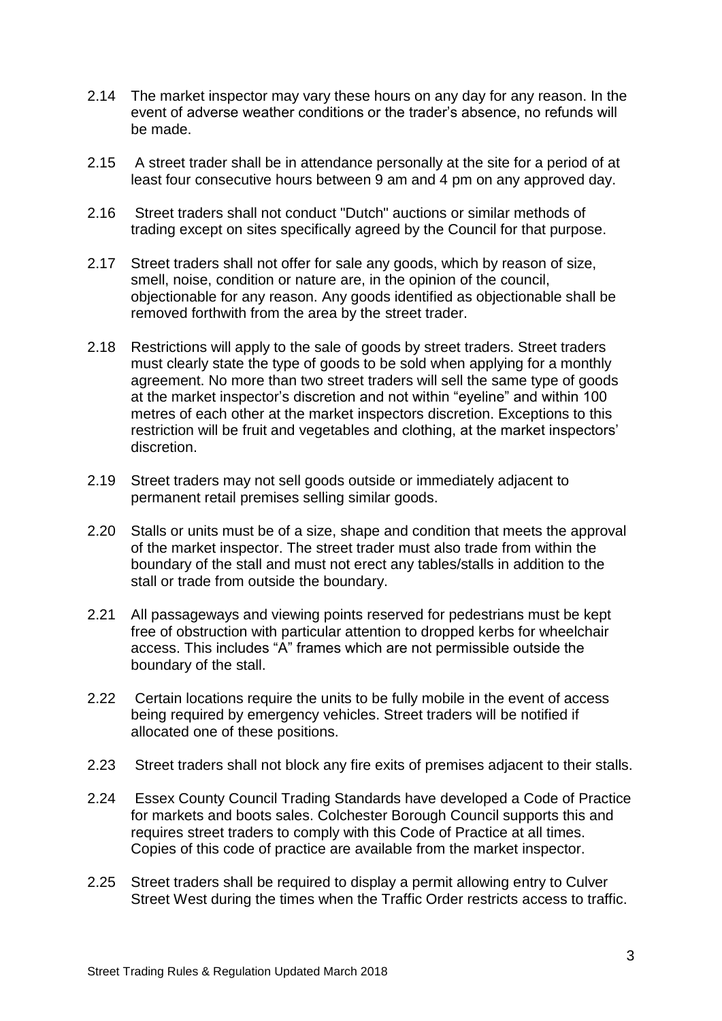- 2.14 The market inspector may vary these hours on any day for any reason. In the event of adverse weather conditions or the trader's absence, no refunds will be made.
- 2.15 A street trader shall be in attendance personally at the site for a period of at least four consecutive hours between 9 am and 4 pm on any approved day.
- 2.16 Street traders shall not conduct "Dutch" auctions or similar methods of trading except on sites specifically agreed by the Council for that purpose.
- 2.17 Street traders shall not offer for sale any goods, which by reason of size, smell, noise, condition or nature are, in the opinion of the council, objectionable for any reason. Any goods identified as objectionable shall be removed forthwith from the area by the street trader.
- 2.18 Restrictions will apply to the sale of goods by street traders. Street traders must clearly state the type of goods to be sold when applying for a monthly agreement. No more than two street traders will sell the same type of goods at the market inspector's discretion and not within "eyeline" and within 100 metres of each other at the market inspectors discretion. Exceptions to this restriction will be fruit and vegetables and clothing, at the market inspectors' discretion.
- 2.19 Street traders may not sell goods outside or immediately adjacent to permanent retail premises selling similar goods.
- 2.20 Stalls or units must be of a size, shape and condition that meets the approval of the market inspector. The street trader must also trade from within the boundary of the stall and must not erect any tables/stalls in addition to the stall or trade from outside the boundary.
- 2.21 All passageways and viewing points reserved for pedestrians must be kept free of obstruction with particular attention to dropped kerbs for wheelchair access. This includes "A" frames which are not permissible outside the boundary of the stall.
- 2.22 Certain locations require the units to be fully mobile in the event of access being required by emergency vehicles. Street traders will be notified if allocated one of these positions.
- 2.23 Street traders shall not block any fire exits of premises adjacent to their stalls.
- 2.24 Essex County Council Trading Standards have developed a Code of Practice for markets and boots sales. Colchester Borough Council supports this and requires street traders to comply with this Code of Practice at all times. Copies of this code of practice are available from the market inspector.
- 2.25 Street traders shall be required to display a permit allowing entry to Culver Street West during the times when the Traffic Order restricts access to traffic.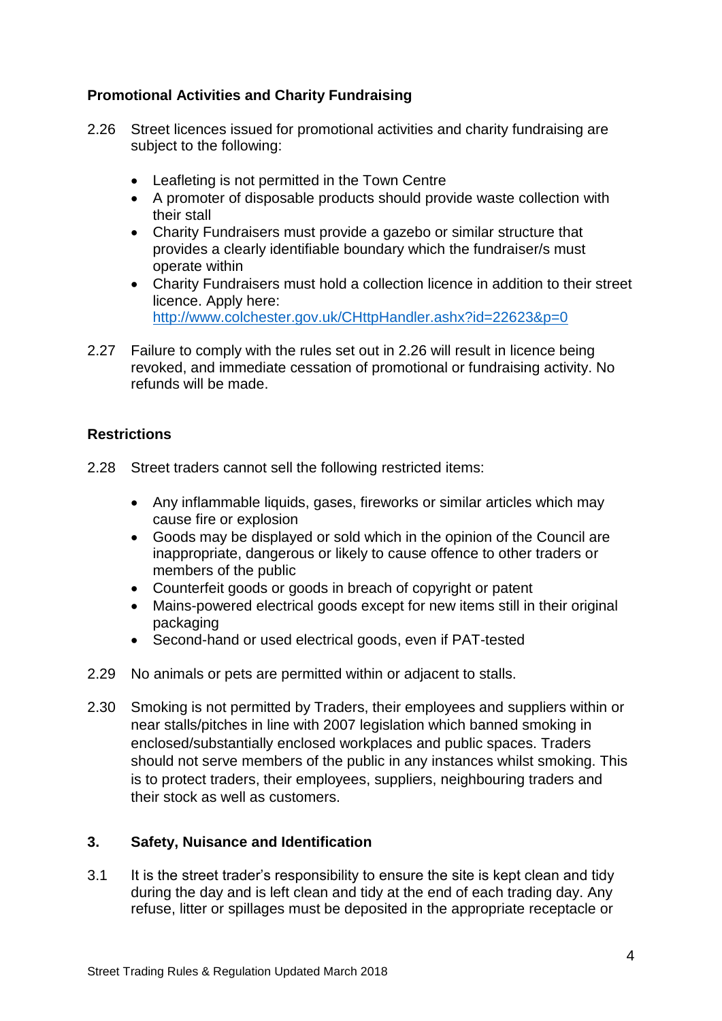## **Promotional Activities and Charity Fundraising**

- 2.26 Street licences issued for promotional activities and charity fundraising are subject to the following:
	- Leafleting is not permitted in the Town Centre
	- A promoter of disposable products should provide waste collection with their stall
	- Charity Fundraisers must provide a gazebo or similar structure that provides a clearly identifiable boundary which the fundraiser/s must operate within
	- Charity Fundraisers must hold a collection licence in addition to their street licence. Apply here: <http://www.colchester.gov.uk/CHttpHandler.ashx?id=22623&p=0>
- 2.27 Failure to comply with the rules set out in 2.26 will result in licence being revoked, and immediate cessation of promotional or fundraising activity. No refunds will be made.

## **Restrictions**

- 2.28 Street traders cannot sell the following restricted items:
	- Any inflammable liquids, gases, fireworks or similar articles which may cause fire or explosion
	- Goods may be displayed or sold which in the opinion of the Council are inappropriate, dangerous or likely to cause offence to other traders or members of the public
	- Counterfeit goods or goods in breach of copyright or patent
	- Mains-powered electrical goods except for new items still in their original packaging
	- Second-hand or used electrical goods, even if PAT-tested
- 2.29 No animals or pets are permitted within or adjacent to stalls.
- 2.30 Smoking is not permitted by Traders, their employees and suppliers within or near stalls/pitches in line with 2007 legislation which banned smoking in enclosed/substantially enclosed workplaces and public spaces. Traders should not serve members of the public in any instances whilst smoking. This is to protect traders, their employees, suppliers, neighbouring traders and their stock as well as customers.

### **3. Safety, Nuisance and Identification**

3.1 It is the street trader's responsibility to ensure the site is kept clean and tidy during the day and is left clean and tidy at the end of each trading day. Any refuse, litter or spillages must be deposited in the appropriate receptacle or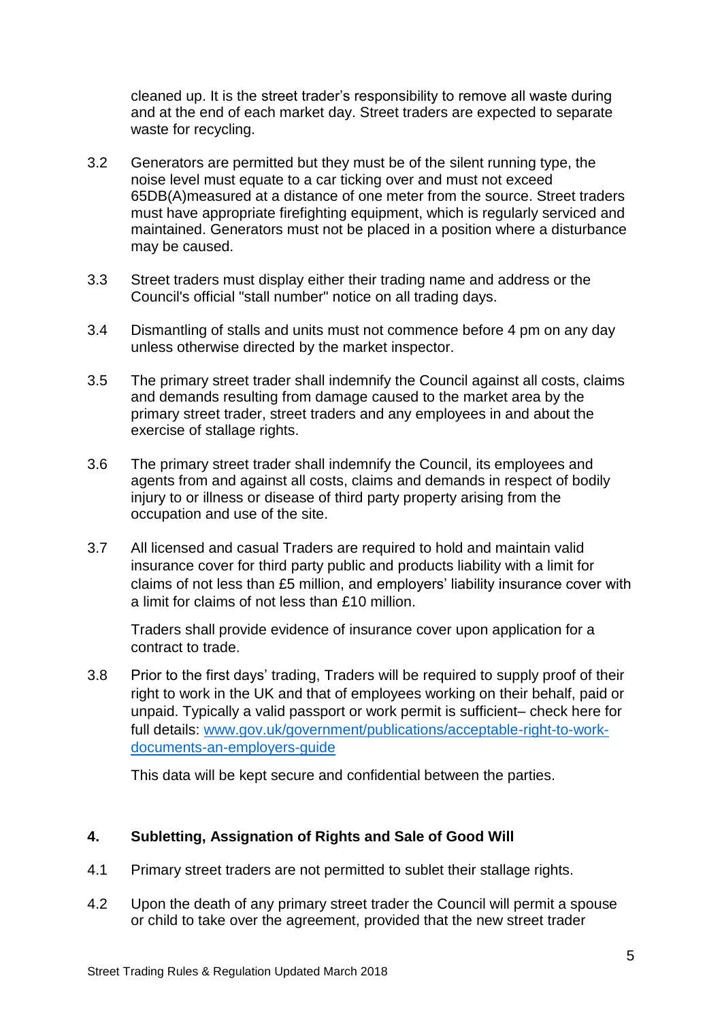cleaned up. It is the street trader's responsibility to remove all waste during and at the end of each market day. Street traders are expected to separate waste for recycling.

- 3.2 Generators are permitted but they must be of the silent running type, the noise level must equate to a car ticking over and must not exceed 65DB(A)measured at a distance of one meter from the source. Street traders must have appropriate firefighting equipment, which is regularly serviced and maintained. Generators must not be placed in a position where a disturbance may be caused.
- 3.3 Street traders must display either their trading name and address or the Council's official "stall number" notice on all trading days.
- 3.4 Dismantling of stalls and units must not commence before 4 pm on any day unless otherwise directed by the market inspector.
- 3.5 The primary street trader shall indemnify the Council against all costs, claims and demands resulting from damage caused to the market area by the primary street trader, street traders and any employees in and about the exercise of stallage rights.
- 3.6 The primary street trader shall indemnify the Council, its employees and agents from and against all costs, claims and demands in respect of bodily injury to or illness or disease of third party property arising from the occupation and use of the site.
- 3.7 All licensed and casual Traders are required to hold and maintain valid insurance cover for third party public and products liability with a limit for claims of not less than £5 million, and employers' liability insurance cover with a limit for claims of not less than £10 million.

Traders shall provide evidence of insurance cover upon application for a contract to trade.

3.8 Prior to the first days' trading, Traders will be required to supply proof of their right to work in the UK and that of employees working on their behalf, paid or unpaid. Typically a valid passport or work permit is sufficient– check here for full details: [www.gov.uk/government/publications/acceptable-right-to-work](http://www.gov.uk/government/publications/acceptable-right-to-work-documents-an-employers-guide)[documents-an-employers-guide](http://www.gov.uk/government/publications/acceptable-right-to-work-documents-an-employers-guide)

This data will be kept secure and confidential between the parties.

## **4. Subletting, Assignation of Rights and Sale of Good Will**

- 4.1 Primary street traders are not permitted to sublet their stallage rights.
- 4.2 Upon the death of any primary street trader the Council will permit a spouse or child to take over the agreement, provided that the new street trader